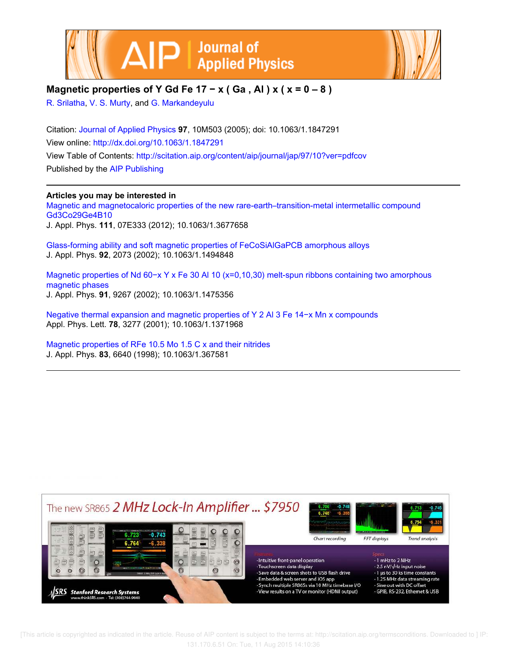



## **Magnetic properties of Y Gd Fe 17 − x ( Ga , Al ) x ( x = 0 – 8 )**

R. Srilatha, V. S. Murty, and G. Markandeyulu

Citation: Journal of Applied Physics **97**, 10M503 (2005); doi: 10.1063/1.1847291 View online: http://dx.doi.org/10.1063/1.1847291 View Table of Contents: http://scitation.aip.org/content/aip/journal/jap/97/10?ver=pdfcov Published by the AIP Publishing

### **Articles you may be interested in**

Magnetic and magnetocaloric properties of the new rare-earth–transition-metal intermetallic compound Gd3Co29Ge4B10 J. Appl. Phys. **111**, 07E333 (2012); 10.1063/1.3677658

Glass-forming ability and soft magnetic properties of FeCoSiAlGaPCB amorphous alloys J. Appl. Phys. **92**, 2073 (2002); 10.1063/1.1494848

Magnetic properties of Nd 60−x Y x Fe 30 Al 10 (x=0,10,30) melt-spun ribbons containing two amorphous magnetic phases J. Appl. Phys. **91**, 9267 (2002); 10.1063/1.1475356

Negative thermal expansion and magnetic properties of Y 2 Al 3 Fe 14−x Mn x compounds Appl. Phys. Lett. **78**, 3277 (2001); 10.1063/1.1371968

Magnetic properties of RFe 10.5 Mo 1.5 C x and their nitrides J. Appl. Phys. **83**, 6640 (1998); 10.1063/1.367581



 [This article is copyrighted as indicated in the article. Reuse of AIP content is subject to the terms at: http://scitation.aip.org/termsconditions. Downloaded to ] IP: 131.170.6.51 On: Tue, 11 Aug 2015 14:10:36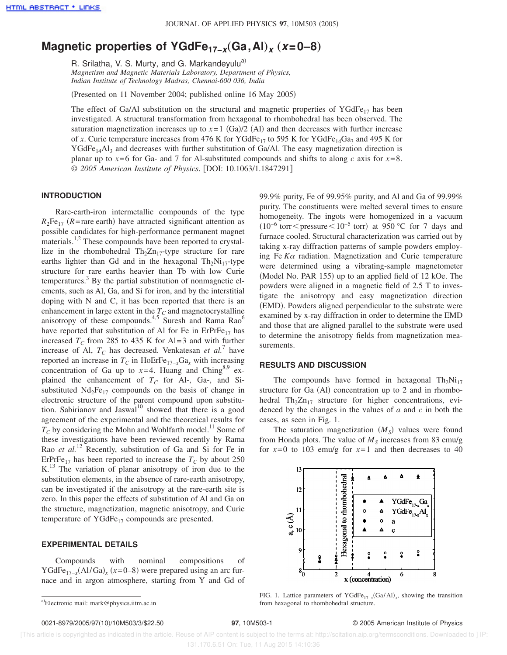# **Magnetic properties of YGdFe<sub>17−</sub><sub>x</sub>(Ga,Al)<sub>x</sub></sub> (***x***=0–8)**

R. Srilatha, V. S. Murty, and G. Markandeyulu<sup>a)</sup> *Magnetism and Magnetic Materials Laboratory, Department of Physics, Indian Institute of Technology Madras, Chennai-600 036, India*

(Presented on 11 November 2004; published online 16 May 2005)

The effect of Ga/Al substitution on the structural and magnetic properties of YGdFe<sub>17</sub> has been investigated. A structural transformation from hexagonal to rhombohedral has been observed. The saturation magnetization increases up to  $x=1$  (Ga)/2 (Al) and then decreases with further increase of *x*. Curie temperature increases from 476 K for YGdFe<sub>17</sub> to 595 K for YGdFe<sub>14</sub>Ga<sub>3</sub> and 495 K for YGdFe<sub>14</sub>Al<sub>3</sub> and decreases with further substitution of Ga/Al. The easy magnetization direction is planar up to  $x=6$  for Ga- and 7 for Al-substituted compounds and shifts to along *c* axis for  $x=8$ . © 2005 American Institute of Physics. [DOI: 10.1063/1.1847291]

#### **INTRODUCTION**

Rare-earth-iron intermetallic compounds of the type  $R_2Fe_{17}$  (*R*=rare earth) have attracted significant attention as possible candidates for high-performance permanent magnet materials.<sup>1,2</sup> These compounds have been reported to crystallize in the rhombohedral  $Th_2Zn_{17}$ -type structure for rare earths lighter than Gd and in the hexagonal  $Th_2Ni_{17}$ -type structure for rare earths heavier than Tb with low Curie temperatures.<sup>3</sup> By the partial substitution of nonmagnetic elements, such as Al, Ga, and Si for iron, and by the interstitial doping with N and C, it has been reported that there is an enhancement in large extent in the  $T_C$  and magnetocrystalline anisotropy of these compounds.<sup>4,5</sup> Suresh and Rama Rao<sup>6</sup> have reported that substitution of Al for Fe in  $ErPrFe_{17}$  has increased  $T_C$  from 285 to 435 K for Al=3 and with further increase of Al,  $T_C$  has decreased. Venkatesan *et al.*<sup>7</sup> have reported an increase in  $T_C$  in HoErFe<sub>17−*x*</sub>Ga<sub>*x*</sub> with increasing concentration of Ga up to  $x=4$ . Huang and Ching<sup>8,9</sup> explained the enhancement of *T<sup>C</sup>* for Al-, Ga-, and Sisubstituted  $Nd<sub>2</sub>Fe<sub>17</sub>$  compounds on the basis of change in electronic structure of the parent compound upon substitution. Sabirianov and Jaswal<sup>10</sup> showed that there is a good agreement of the experimental and the theoretical results for  $T_C$  by considering the Mohn and Wohlfarth model.<sup>11</sup> Some of these investigations have been reviewed recently by Rama Rao *et al.*<sup>12</sup> Recently, substitution of Ga and Si for Fe in ErPrFe<sub>17</sub> has been reported to increase the  $T_C$  by about 250 K.<sup>13</sup> The variation of planar anisotropy of iron due to the substitution elements, in the absence of rare-earth anisotropy, can be investigated if the anisotropy at the rare-earth site is zero. In this paper the effects of substitution of Al and Ga on the structure, magnetization, magnetic anisotropy, and Curie temperature of YGdFe $_{17}$  compounds are presented.

#### **EXPERIMENTAL DETAILS**

Compounds with nominal compositions of YGdFe<sub>17-*x*</sub>(Al/Ga)<sub>*x*</sub> ( $x=0-8$ ) were prepared using an arc furnace and in argon atmosphere, starting from Y and Gd of 99.9% purity, Fe of 99.95% purity, and Al and Ga of 99.99% purity. The constituents were melted several times to ensure homogeneity. The ingots were homogenized in a vacuum  $(10^{-6} \text{ torr}$  < pressure < 10<sup>-5</sup> torr) at 950 °C for 7 days and furnace cooled. Structural characterization was carried out by taking x-ray diffraction patterns of sample powders employing Fe *K*<sup>a</sup> radiation. Magnetization and Curie temperature were determined using a vibrating-sample magnetometer (Model No. PAR  $155$ ) up to an applied field of  $12$  kOe. The powders were aligned in a magnetic field of 2.5 T to investigate the anisotropy and easy magnetization direction (EMD). Powders aligned perpendicular to the substrate were examined by x-ray diffraction in order to determine the EMD and those that are aligned parallel to the substrate were used to determine the anisotropy fields from magnetization measurements.

#### **RESULTS AND DISCUSSION**

The compounds have formed in hexagonal  $Th_2Ni_{17}$ structure for Ga  $(A)$  concentration up to 2 and in rhombohedral  $Th_2Zn_{17}$  structure for higher concentrations, evidenced by the changes in the values of *a* and *c* in both the cases, as seen in Fig. 1.

The saturation magnetization  $(M<sub>S</sub>)$  values were found from Honda plots. The value of *M<sup>S</sup>* increases from 83 emu/g for  $x=0$  to 103 emu/g for  $x=1$  and then decreases to 40



FIG. 1. Lattice parameters of YGdFe<sub>17-*x*</sub>(Ga/Al)<sub>*x*</sub>, showing the transition from hexagonal to rhombohedral structure.

a)Electronic mail: mark@physics.iitm.ac.in

 <sup>[</sup>This article is copyrighted as indicated in the article. Reuse of AIP content is subject to the terms at: http://scitation.aip.org/termsconditions. Downloaded to ] IP: 131.170.6.51 On: Tue, 11 Aug 2015 14:10:36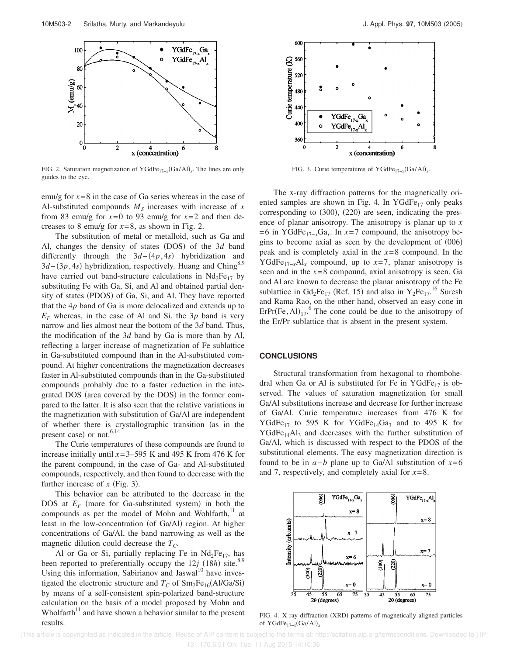

FIG. 2. Saturation magnetization of YGdFe<sub>17-*x*</sub>(Ga/Al)<sub>*x*</sub>. The lines are only guides to the eye.

emu/g for  $x=8$  in the case of Ga series whereas in the case of Al-substituted compounds  $M<sub>S</sub>$  increases with increase of  $x$ from 83 emu/g for  $x=0$  to 93 emu/g for  $x=2$  and then decreases to 8 emu/g for  $x=8$ , as shown in Fig. 2.

The substitution of metal or metalloid, such as Ga and Al, changes the density of states (DOS) of the 3*d* band differently through the  $3d-(4p,4s)$  hybridization and 3*d*−(3*p*,4*s*) hybridization, respectively. Huang and Ching<sup>8,9</sup> have carried out band-structure calculations in  $Nd<sub>2</sub>Fe<sub>17</sub>$  by substituting Fe with Ga, Si, and Al and obtained partial density of states (PDOS) of Ga, Si, and Al. They have reported that the 4*p* band of Ga is more delocalized and extends up to  $E_F$  whereas, in the case of Al and Si, the 3*p* band is very narrow and lies almost near the bottom of the 3*d* band. Thus, the modification of the 3*d* band by Ga is more than by Al, reflecting a larger increase of magnetization of Fe sublattice in Ga-substituted compound than in the Al-substituted compound. At higher concentrations the magnetization decreases faster in Al-substituted compounds than in the Ga-substituted compounds probably due to a faster reduction in the integrated DOS (area covered by the DOS) in the former compared to the latter. It is also seen that the relative variations in the magnetization with substitution of Ga/Al are independent of whether there is crystallographic transition (as in the present case) or not. $6,14$ 

The Curie temperatures of these compounds are found to increase initially until  $x=3-595$  K and 495 K from 476 K for the parent compound, in the case of Ga- and Al-substituted compounds, respectively, and then found to decrease with the further increase of  $x$  (Fig. 3).

This behavior can be attributed to the decrease in the DOS at  $E_F$  (more for Ga-substituted system) in both the compounds as per the model of Mohn and Wohlfarth,<sup>11</sup> at least in the low-concentration (of Ga/Al) region. At higher concentrations of Ga/Al, the band narrowing as well as the magnetic dilution could decrease the *TC*.

Al or Ga or Si, partially replacing Fe in  $Nd_2Fe_{17}$ , has been reported to preferentially occupy the  $12j$  ( $18h$ ) site.<sup>8,9</sup> Using this information, Sabirianov and Jaswal<sup>10</sup> have investigated the electronic structure and  $T_C$  of  $Sm_2Fe_{16}(Al/Ga/Si)$ by means of a self-consistent spin-polarized band-structure calculation on the basis of a model proposed by Mohn and Wholfarth $11$  and have shown a behavior similar to the present results.



FIG. 3. Curie temperatures of YGdFe<sub>17-*x*</sub>(Ga/Al)<sub>*x*</sub>.

The x-ray diffraction patterns for the magnetically oriented samples are shown in Fig. 4. In YGdFe $_{17}$  only peaks corresponding to  $(300)$ ,  $(220)$  are seen, indicating the presence of planar anisotropy. The anisotropy is planar up to *x*  $=6$  in YGdFe<sub>17-*x*</sub>Ga<sub>*x*</sub>. In *x*=7 compound, the anisotropy begins to become axial as seen by the development of  $(006)$ peak and is completely axial in the *x*=8 compound. In the YGdFe<sub>17-*x*</sub>Al<sub>*x*</sub> compound, up to *x*=7, planar anisotropy is seen and in the *x*=8 compound, axial anisotropy is seen. Ga and Al are known to decrease the planar anisotropy of the Fe sublattice in  $Gd_2Fe_{17}$  (Ref. 15) and also in  $Y_2Fe_{17}$ .<sup>16</sup> Suresh and Rama Rao, on the other hand, observed an easy cone in  $E$ rPr(Fe, Al)<sub>17</sub>.<sup>6</sup> The cone could be due to the anisotropy of the Er/Pr sublattice that is absent in the present system.

#### **CONCLUSIONS**

Structural transformation from hexagonal to rhombohedral when Ga or Al is substituted for Fe in YGdFe<sub>17</sub> is observed. The values of saturation magnetization for small Ga/Al substitutions increase and decrease for further increase of Ga/Al. Curie temperature increases from 476 K for YGdFe<sub>17</sub> to 595 K for YGdFe<sub>14</sub>Ga<sub>3</sub> and to 495 K for  $YGdFe<sub>14</sub>Al<sub>3</sub>$  and decreases with the further substitution of Ga/Al, which is discussed with respect to the PDOS of the substitutional elements. The easy magnetization direction is found to be in *a*−*b* plane up to Ga/Al substitution of *x*=6 and 7, respectively, and completely axial for *x*=8.



FIG. 4. X-ray diffraction (XRD) patterns of magnetically aligned particles of YGdFe<sub>17-*x*</sub>(Ga/Al)<sub>*x*</sub>.